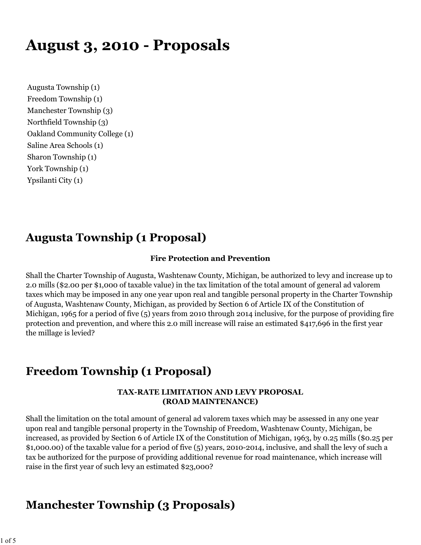# **August 3, 2010 - Proposals**

Augusta Township (1) Freedom Township (1) Manchester Township (3) Northfield Township (3) Oakland Community College (1) Saline Area Schools (1) Sharon Township (1) York Township (1) Ypsilanti City (1)

# **Augusta Township (1 Proposal)**

#### **Fire Protection and Prevention**

Shall the Charter Township of Augusta, Washtenaw County, Michigan, be authorized to levy and increase up to 2.0 mills (\$2.00 per \$1,000 of taxable value) in the tax limitation of the total amount of general ad valorem taxes which may be imposed in any one year upon real and tangible personal property in the Charter Township of Augusta, Washtenaw County, Michigan, as provided by Section 6 of Article IX of the Constitution of Michigan, 1965 for a period of five (5) years from 2010 through 2014 inclusive, for the purpose of providing fire protection and prevention, and where this 2.0 mill increase will raise an estimated \$417,696 in the first year the millage is levied?

# **Freedom Township (1 Proposal)**

#### **TAX-RATE LIMITATION AND LEVY PROPOSAL (ROAD MAINTENANCE)**

Shall the limitation on the total amount of general ad valorem taxes which may be assessed in any one year upon real and tangible personal property in the Township of Freedom, Washtenaw County, Michigan, be increased, as provided by Section 6 of Article IX of the Constitution of Michigan, 1963, by 0.25 mills (\$0.25 per \$1,000.00) of the taxable value for a period of five (5) years, 2010-2014, inclusive, and shall the levy of such a tax be authorized for the purpose of providing additional revenue for road maintenance, which increase will raise in the first year of such levy an estimated \$23,000?

## **Manchester Township (3 Proposals)**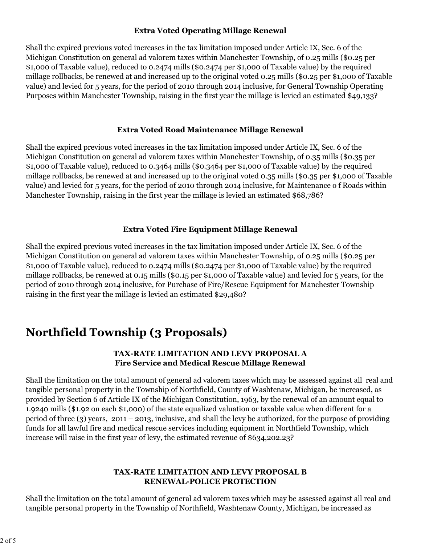### **Extra Voted Operating Millage Renewal**

Shall the expired previous voted increases in the tax limitation imposed under Article IX, Sec. 6 of the Michigan Constitution on general ad valorem taxes within Manchester Township, of 0.25 mills (\$0.25 per \$1,000 of Taxable value), reduced to 0.2474 mills (\$0.2474 per \$1,000 of Taxable value) by the required millage rollbacks, be renewed at and increased up to the original voted 0.25 mills (\$0.25 per \$1,000 of Taxable value) and levied for 5 years, for the period of 2010 through 2014 inclusive, for General Township Operating Purposes within Manchester Township, raising in the first year the millage is levied an estimated \$49,133?

#### **Extra Voted Road Maintenance Millage Renewal**

Shall the expired previous voted increases in the tax limitation imposed under Article IX, Sec. 6 of the Michigan Constitution on general ad valorem taxes within Manchester Township, of 0.35 mills (\$0.35 per \$1,000 of Taxable value), reduced to 0.3464 mills (\$0.3464 per \$1,000 of Taxable value) by the required millage rollbacks, be renewed at and increased up to the original voted 0.35 mills (\$0.35 per \$1,000 of Taxable value) and levied for 5 years, for the period of 2010 through 2014 inclusive, for Maintenance o f Roads within Manchester Township, raising in the first year the millage is levied an estimated \$68,786?

### **Extra Voted Fire Equipment Millage Renewal**

Shall the expired previous voted increases in the tax limitation imposed under Article IX, Sec. 6 of the Michigan Constitution on general ad valorem taxes within Manchester Township, of 0.25 mills (\$0.25 per \$1,000 of Taxable value), reduced to 0.2474 mills (\$0.2474 per \$1,000 of Taxable value) by the required millage rollbacks, be renewed at 0.15 mills (\$0.15 per \$1,000 of Taxable value) and levied for 5 years, for the period of 2010 through 2014 inclusive, for Purchase of Fire/Rescue Equipment for Manchester Township raising in the first year the millage is levied an estimated \$29,480?

# **Northfield Township (3 Proposals)**

### **TAX-RATE LIMITATION AND LEVY PROPOSAL A Fire Service and Medical Rescue Millage Renewal**

Shall the limitation on the total amount of general ad valorem taxes which may be assessed against all real and tangible personal property in the Township of Northfield, County of Washtenaw, Michigan, be increased, as provided by Section 6 of Article IX of the Michigan Constitution, 1963, by the renewal of an amount equal to 1.9240 mills (\$1.92 on each \$1,000) of the state equalized valuation or taxable value when different for a period of three (3) years, 2011 – 2013, inclusive, and shall the levy be authorized, for the purpose of providing funds for all lawful fire and medical rescue services including equipment in Northfield Township, which increase will raise in the first year of levy, the estimated revenue of \$634,202.23?

### **TAX-RATE LIMITATION AND LEVY PROPOSAL B RENEWAL-POLICE PROTECTION**

Shall the limitation on the total amount of general ad valorem taxes which may be assessed against all real and tangible personal property in the Township of Northfield, Washtenaw County, Michigan, be increased as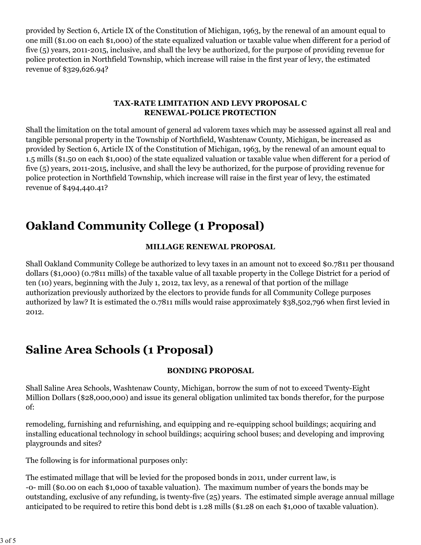provided by Section 6, Article IX of the Constitution of Michigan, 1963, by the renewal of an amount equal to one mill (\$1.00 on each \$1,000) of the state equalized valuation or taxable value when different for a period of five (5) years, 2011-2015, inclusive, and shall the levy be authorized, for the purpose of providing revenue for police protection in Northfield Township, which increase will raise in the first year of levy, the estimated revenue of \$329,626.94?

#### **TAX-RATE LIMITATION AND LEVY PROPOSAL C RENEWAL-POLICE PROTECTION**

Shall the limitation on the total amount of general ad valorem taxes which may be assessed against all real and tangible personal property in the Township of Northfield, Washtenaw County, Michigan, be increased as provided by Section 6, Article IX of the Constitution of Michigan, 1963, by the renewal of an amount equal to 1.5 mills (\$1.50 on each \$1,000) of the state equalized valuation or taxable value when different for a period of five (5) years, 2011-2015, inclusive, and shall the levy be authorized, for the purpose of providing revenue for police protection in Northfield Township, which increase will raise in the first year of levy, the estimated revenue of \$494,440.41?

# **Oakland Community College (1 Proposal)**

### **MILLAGE RENEWAL PROPOSAL**

Shall Oakland Community College be authorized to levy taxes in an amount not to exceed \$0.7811 per thousand dollars (\$1,000) (0.7811 mills) of the taxable value of all taxable property in the College District for a period of ten (10) years, beginning with the July 1, 2012, tax levy, as a renewal of that portion of the millage authorization previously authorized by the electors to provide funds for all Community College purposes authorized by law? It is estimated the 0.7811 mills would raise approximately \$38,502,796 when first levied in 2012.

# **Saline Area Schools (1 Proposal)**

### **BONDING PROPOSAL**

Shall Saline Area Schools, Washtenaw County, Michigan, borrow the sum of not to exceed Twenty-Eight Million Dollars (\$28,000,000) and issue its general obligation unlimited tax bonds therefor, for the purpose of:

remodeling, furnishing and refurnishing, and equipping and re-equipping school buildings; acquiring and installing educational technology in school buildings; acquiring school buses; and developing and improving playgrounds and sites?

The following is for informational purposes only:

The estimated millage that will be levied for the proposed bonds in 2011, under current law, is -0- mill (\$0.00 on each \$1,000 of taxable valuation). The maximum number of years the bonds may be outstanding, exclusive of any refunding, is twenty-five (25) years. The estimated simple average annual millage anticipated to be required to retire this bond debt is 1.28 mills (\$1.28 on each \$1,000 of taxable valuation).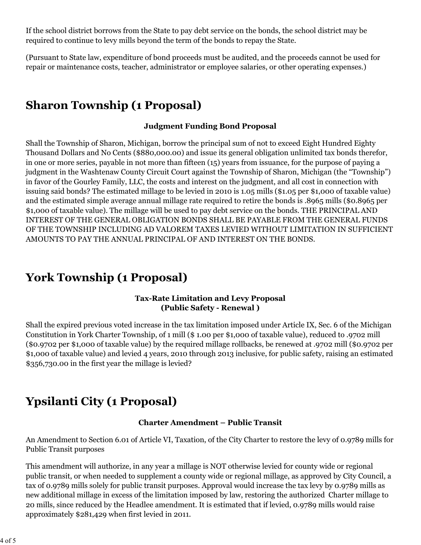If the school district borrows from the State to pay debt service on the bonds, the school district may be required to continue to levy mills beyond the term of the bonds to repay the State.

(Pursuant to State law, expenditure of bond proceeds must be audited, and the proceeds cannot be used for repair or maintenance costs, teacher, administrator or employee salaries, or other operating expenses.)

# **Sharon Township (1 Proposal)**

### **Judgment Funding Bond Proposal**

Shall the Township of Sharon, Michigan, borrow the principal sum of not to exceed Eight Hundred Eighty Thousand Dollars and No Cents (\$880,000.00) and issue its general obligation unlimited tax bonds therefor, in one or more series, payable in not more than fifteen (15) years from issuance, for the purpose of paying a judgment in the Washtenaw County Circuit Court against the Township of Sharon, Michigan (the "Township") in favor of the Gourley Family, LLC, the costs and interest on the judgment, and all cost in connection with issuing said bonds? The estimated millage to be levied in 2010 is 1.05 mills (\$1.05 per \$1,000 of taxable value) and the estimated simple average annual millage rate required to retire the bonds is .8965 mills (\$0.8965 per \$1,000 of taxable value). The millage will be used to pay debt service on the bonds. THE PRINCIPAL AND INTEREST OF THE GENERAL OBLIGATION BONDS SHALL BE PAYABLE FROM THE GENERAL FUNDS OF THE TOWNSHIP INCLUDING AD VALOREM TAXES LEVIED WITHOUT LIMITATION IN SUFFICIENT AMOUNTS TO PAY THE ANNUAL PRINCIPAL OF AND INTEREST ON THE BONDS.

# **York Township (1 Proposal)**

### **Tax-Rate Limitation and Levy Proposal (Public Safety - Renewal )**

Shall the expired previous voted increase in the tax limitation imposed under Article IX, Sec. 6 of the Michigan Constitution in York Charter Township, of 1 mill (\$ 1.00 per \$1,000 of taxable value), reduced to .9702 mill (\$0.9702 per \$1,000 of taxable value) by the required millage rollbacks, be renewed at .9702 mill (\$0.9702 per \$1,000 of taxable value) and levied 4 years, 2010 through 2013 inclusive, for public safety, raising an estimated \$356,730.00 in the first year the millage is levied?

# **Ypsilanti City (1 Proposal)**

### **Charter Amendment – Public Transit**

An Amendment to Section 6.01 of Article VI, Taxation, of the City Charter to restore the levy of 0.9789 mills for Public Transit purposes

This amendment will authorize, in any year a millage is NOT otherwise levied for county wide or regional public transit, or when needed to supplement a county wide or regional millage, as approved by City Council, a tax of 0.9789 mills solely for public transit purposes. Approval would increase the tax levy by 0.9789 mills as new additional millage in excess of the limitation imposed by law, restoring the authorized Charter millage to 20 mills, since reduced by the Headlee amendment. It is estimated that if levied, 0.9789 mills would raise approximately \$281,429 when first levied in 2011.